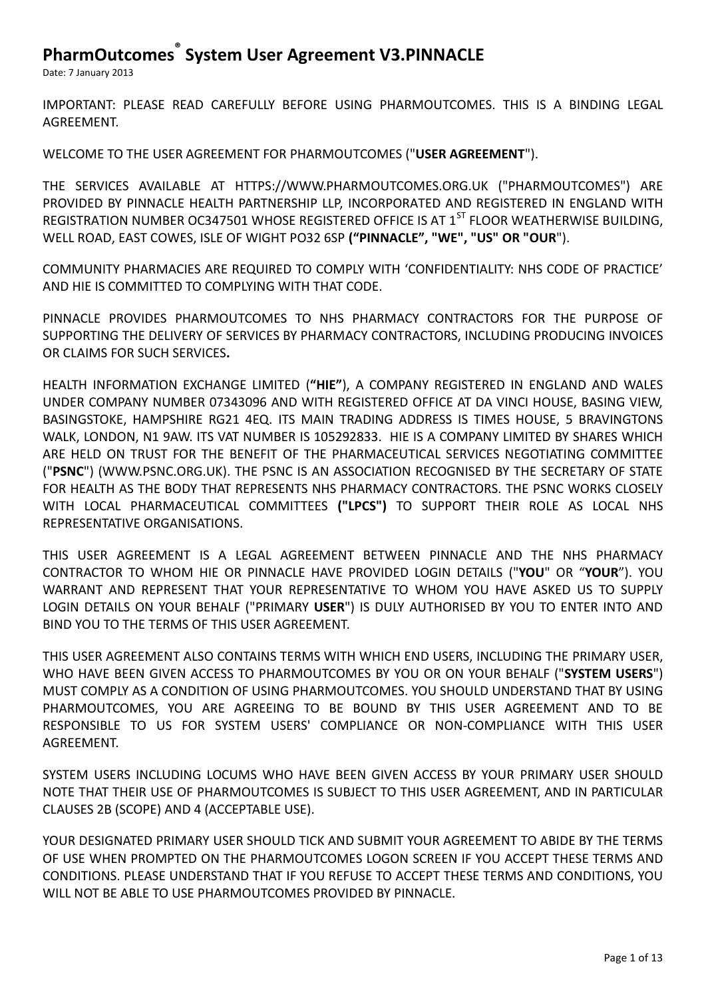Date: 7 January 2013

IMPORTANT: PLEASE READ CAREFULLY BEFORE USING PHARMOUTCOMES. THIS IS A BINDING LEGAL AGREEMENT.

WELCOME TO THE USER AGREEMENT FOR PHARMOUTCOMES ("**USER AGREEMENT**").

THE SERVICES AVAILABLE AT HTTPS://WWW.PHARMOUTCOMES.ORG.UK ("PHARMOUTCOMES") ARE PROVIDED BY PINNACLE HEALTH PARTNERSHIP LLP, INCORPORATED AND REGISTERED IN ENGLAND WITH REGISTRATION NUMBER OC347501 WHOSE REGISTERED OFFICE IS AT 1<sup>ST</sup> FLOOR WEATHERWISE BUILDING, WELL ROAD, EAST COWES, ISLE OF WIGHT PO32 6SP **("PINNACLE", "WE", "US" OR "OUR**").

COMMUNITY PHARMACIES ARE REQUIRED TO COMPLY WITH 'CONFIDENTIALITY: NHS CODE OF PRACTICE' AND HIE IS COMMITTED TO COMPLYING WITH THAT CODE.

PINNACLE PROVIDES PHARMOUTCOMES TO NHS PHARMACY CONTRACTORS FOR THE PURPOSE OF SUPPORTING THE DELIVERY OF SERVICES BY PHARMACY CONTRACTORS, INCLUDING PRODUCING INVOICES OR CLAIMS FOR SUCH SERVICES**.**

HEALTH INFORMATION EXCHANGE LIMITED (**"HIE"**), A COMPANY REGISTERED IN ENGLAND AND WALES UNDER COMPANY NUMBER 07343096 AND WITH REGISTERED OFFICE AT DA VINCI HOUSE, BASING VIEW, BASINGSTOKE, HAMPSHIRE RG21 4EQ. ITS MAIN TRADING ADDRESS IS TIMES HOUSE, 5 BRAVINGTONS WALK, LONDON, N1 9AW. ITS VAT NUMBER IS 105292833. HIE IS A COMPANY LIMITED BY SHARES WHICH ARE HELD ON TRUST FOR THE BENEFIT OF THE PHARMACEUTICAL SERVICES NEGOTIATING COMMITTEE ("**PSNC**") (WWW.PSNC.ORG.UK). THE PSNC IS AN ASSOCIATION RECOGNISED BY THE SECRETARY OF STATE FOR HEALTH AS THE BODY THAT REPRESENTS NHS PHARMACY CONTRACTORS. THE PSNC WORKS CLOSELY WITH LOCAL PHARMACEUTICAL COMMITTEES **("LPCS")** TO SUPPORT THEIR ROLE AS LOCAL NHS REPRESENTATIVE ORGANISATIONS.

THIS USER AGREEMENT IS A LEGAL AGREEMENT BETWEEN PINNACLE AND THE NHS PHARMACY CONTRACTOR TO WHOM HIE OR PINNACLE HAVE PROVIDED LOGIN DETAILS ("**YOU**" OR "**YOUR**"). YOU WARRANT AND REPRESENT THAT YOUR REPRESENTATIVE TO WHOM YOU HAVE ASKED US TO SUPPLY LOGIN DETAILS ON YOUR BEHALF ("PRIMARY **USER**") IS DULY AUTHORISED BY YOU TO ENTER INTO AND BIND YOU TO THE TERMS OF THIS USER AGREEMENT.

THIS USER AGREEMENT ALSO CONTAINS TERMS WITH WHICH END USERS, INCLUDING THE PRIMARY USER, WHO HAVE BEEN GIVEN ACCESS TO PHARMOUTCOMES BY YOU OR ON YOUR BEHALF ("**SYSTEM USERS**") MUST COMPLY AS A CONDITION OF USING PHARMOUTCOMES. YOU SHOULD UNDERSTAND THAT BY USING PHARMOUTCOMES, YOU ARE AGREEING TO BE BOUND BY THIS USER AGREEMENT AND TO BE RESPONSIBLE TO US FOR SYSTEM USERS' COMPLIANCE OR NON-COMPLIANCE WITH THIS USER AGREEMENT.

SYSTEM USERS INCLUDING LOCUMS WHO HAVE BEEN GIVEN ACCESS BY YOUR PRIMARY USER SHOULD NOTE THAT THEIR USE OF PHARMOUTCOMES IS SUBJECT TO THIS USER AGREEMENT, AND IN PARTICULAR CLAUSES 2B (SCOPE) AND 4 (ACCEPTABLE USE).

YOUR DESIGNATED PRIMARY USER SHOULD TICK AND SUBMIT YOUR AGREEMENT TO ABIDE BY THE TERMS OF USE WHEN PROMPTED ON THE PHARMOUTCOMES LOGON SCREEN IF YOU ACCEPT THESE TERMS AND CONDITIONS. PLEASE UNDERSTAND THAT IF YOU REFUSE TO ACCEPT THESE TERMS AND CONDITIONS, YOU WILL NOT BE ABLE TO USE PHARMOUTCOMES PROVIDED BY PINNACLE.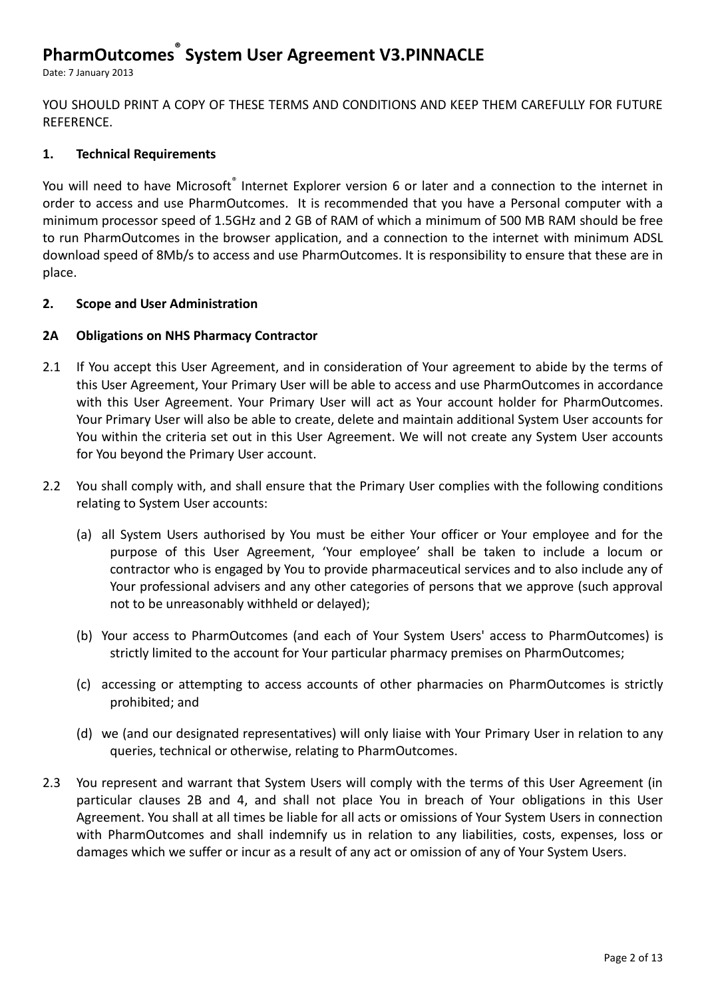Date: 7 January 2013

YOU SHOULD PRINT A COPY OF THESE TERMS AND CONDITIONS AND KEEP THEM CAREFULLY FOR FUTURE REFERENCE.

#### **1. Technical Requirements**

You will need to have Microsoft® Internet Explorer version 6 or later and a connection to the internet in order to access and use PharmOutcomes. It is recommended that you have a Personal computer with a minimum processor speed of 1.5GHz and 2 GB of RAM of which a minimum of 500 MB RAM should be free to run PharmOutcomes in the browser application, and a connection to the internet with minimum ADSL download speed of 8Mb/s to access and use PharmOutcomes. It is responsibility to ensure that these are in place.

#### **2. Scope and User Administration**

#### **2A Obligations on NHS Pharmacy Contractor**

- 2.1 If You accept this User Agreement, and in consideration of Your agreement to abide by the terms of this User Agreement, Your Primary User will be able to access and use PharmOutcomes in accordance with this User Agreement. Your Primary User will act as Your account holder for PharmOutcomes. Your Primary User will also be able to create, delete and maintain additional System User accounts for You within the criteria set out in this User Agreement. We will not create any System User accounts for You beyond the Primary User account.
- 2.2 You shall comply with, and shall ensure that the Primary User complies with the following conditions relating to System User accounts:
	- (a) all System Users authorised by You must be either Your officer or Your employee and for the purpose of this User Agreement, 'Your employee' shall be taken to include a locum or contractor who is engaged by You to provide pharmaceutical services and to also include any of Your professional advisers and any other categories of persons that we approve (such approval not to be unreasonably withheld or delayed);
	- (b) Your access to PharmOutcomes (and each of Your System Users' access to PharmOutcomes) is strictly limited to the account for Your particular pharmacy premises on PharmOutcomes;
	- (c) accessing or attempting to access accounts of other pharmacies on PharmOutcomes is strictly prohibited; and
	- (d) we (and our designated representatives) will only liaise with Your Primary User in relation to any queries, technical or otherwise, relating to PharmOutcomes.
- 2.3 You represent and warrant that System Users will comply with the terms of this User Agreement (in particular clauses 2B and 4, and shall not place You in breach of Your obligations in this User Agreement. You shall at all times be liable for all acts or omissions of Your System Users in connection with PharmOutcomes and shall indemnify us in relation to any liabilities, costs, expenses, loss or damages which we suffer or incur as a result of any act or omission of any of Your System Users.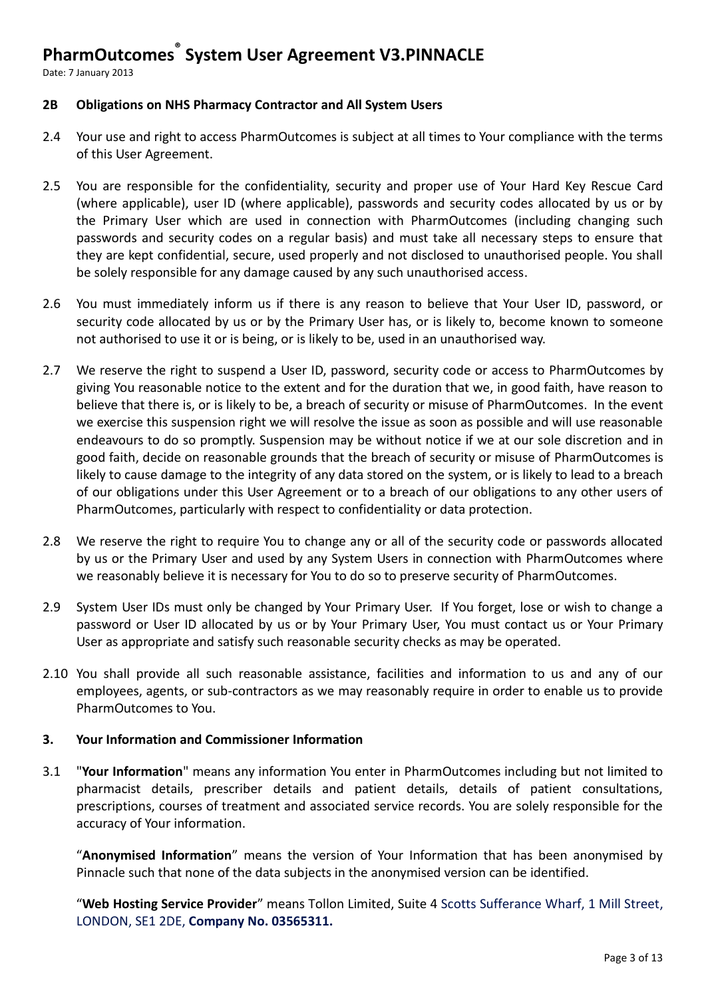Date: 7 January 2013

#### **2B Obligations on NHS Pharmacy Contractor and All System Users**

- 2.4 Your use and right to access PharmOutcomes is subject at all times to Your compliance with the terms of this User Agreement.
- 2.5 You are responsible for the confidentiality, security and proper use of Your Hard Key Rescue Card (where applicable), user ID (where applicable), passwords and security codes allocated by us or by the Primary User which are used in connection with PharmOutcomes (including changing such passwords and security codes on a regular basis) and must take all necessary steps to ensure that they are kept confidential, secure, used properly and not disclosed to unauthorised people. You shall be solely responsible for any damage caused by any such unauthorised access.
- 2.6 You must immediately inform us if there is any reason to believe that Your User ID, password, or security code allocated by us or by the Primary User has, or is likely to, become known to someone not authorised to use it or is being, or is likely to be, used in an unauthorised way.
- 2.7 We reserve the right to suspend a User ID, password, security code or access to PharmOutcomes by giving You reasonable notice to the extent and for the duration that we, in good faith, have reason to believe that there is, or is likely to be, a breach of security or misuse of PharmOutcomes. In the event we exercise this suspension right we will resolve the issue as soon as possible and will use reasonable endeavours to do so promptly. Suspension may be without notice if we at our sole discretion and in good faith, decide on reasonable grounds that the breach of security or misuse of PharmOutcomes is likely to cause damage to the integrity of any data stored on the system, or is likely to lead to a breach of our obligations under this User Agreement or to a breach of our obligations to any other users of PharmOutcomes, particularly with respect to confidentiality or data protection.
- 2.8 We reserve the right to require You to change any or all of the security code or passwords allocated by us or the Primary User and used by any System Users in connection with PharmOutcomes where we reasonably believe it is necessary for You to do so to preserve security of PharmOutcomes.
- 2.9 System User IDs must only be changed by Your Primary User. If You forget, lose or wish to change a password or User ID allocated by us or by Your Primary User, You must contact us or Your Primary User as appropriate and satisfy such reasonable security checks as may be operated.
- 2.10 You shall provide all such reasonable assistance, facilities and information to us and any of our employees, agents, or sub-contractors as we may reasonably require in order to enable us to provide PharmOutcomes to You.

#### **3. Your Information and Commissioner Information**

3.1 "**Your Information**" means any information You enter in PharmOutcomes including but not limited to pharmacist details, prescriber details and patient details, details of patient consultations, prescriptions, courses of treatment and associated service records. You are solely responsible for the accuracy of Your information.

"**Anonymised Information**" means the version of Your Information that has been anonymised by Pinnacle such that none of the data subjects in the anonymised version can be identified.

"**Web Hosting Service Provider**" means Tollon Limited, Suite 4 Scotts Sufferance Wharf, 1 Mill Street, LONDON, SE1 2DE, **Company No. 03565311.**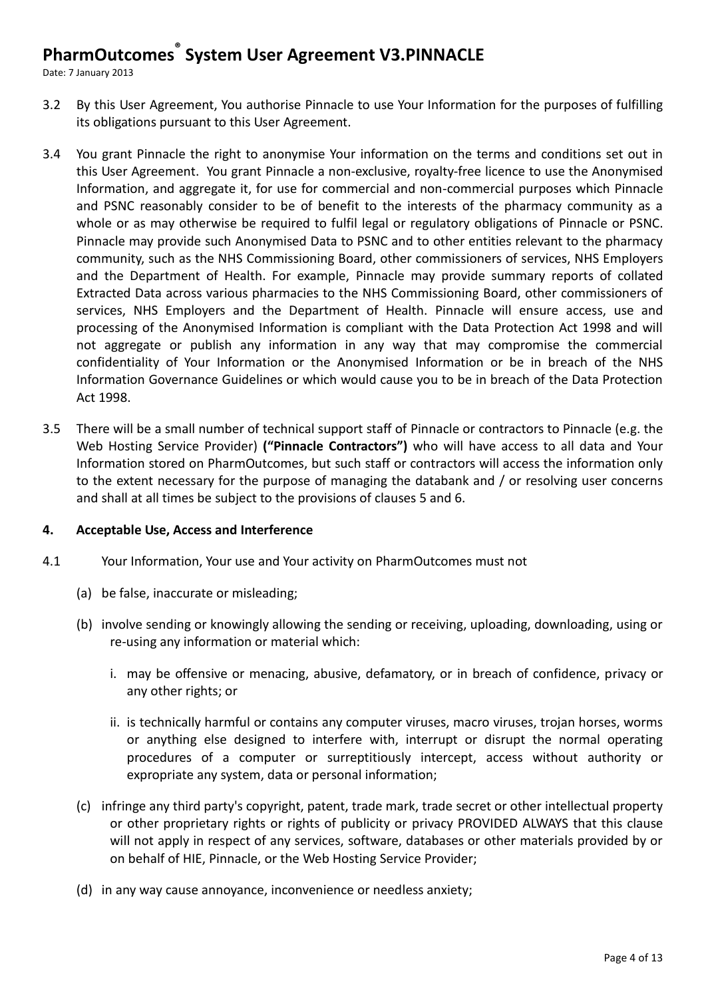Date: 7 January 2013

- 3.2 By this User Agreement, You authorise Pinnacle to use Your Information for the purposes of fulfilling its obligations pursuant to this User Agreement.
- 3.4 You grant Pinnacle the right to anonymise Your information on the terms and conditions set out in this User Agreement. You grant Pinnacle a non-exclusive, royalty-free licence to use the Anonymised Information, and aggregate it, for use for commercial and non-commercial purposes which Pinnacle and PSNC reasonably consider to be of benefit to the interests of the pharmacy community as a whole or as may otherwise be required to fulfil legal or regulatory obligations of Pinnacle or PSNC. Pinnacle may provide such Anonymised Data to PSNC and to other entities relevant to the pharmacy community, such as the NHS Commissioning Board, other commissioners of services, NHS Employers and the Department of Health. For example, Pinnacle may provide summary reports of collated Extracted Data across various pharmacies to the NHS Commissioning Board, other commissioners of services, NHS Employers and the Department of Health. Pinnacle will ensure access, use and processing of the Anonymised Information is compliant with the Data Protection Act 1998 and will not aggregate or publish any information in any way that may compromise the commercial confidentiality of Your Information or the Anonymised Information or be in breach of the NHS Information Governance Guidelines or which would cause you to be in breach of the Data Protection Act 1998.
- 3.5 There will be a small number of technical support staff of Pinnacle or contractors to Pinnacle (e.g. the Web Hosting Service Provider) **("Pinnacle Contractors")** who will have access to all data and Your Information stored on PharmOutcomes, but such staff or contractors will access the information only to the extent necessary for the purpose of managing the databank and / or resolving user concerns and shall at all times be subject to the provisions of clauses 5 and 6.

#### **4. Acceptable Use, Access and Interference**

- 4.1 Your Information, Your use and Your activity on PharmOutcomes must not
	- (a) be false, inaccurate or misleading;
	- (b) involve sending or knowingly allowing the sending or receiving, uploading, downloading, using or re-using any information or material which:
		- i. may be offensive or menacing, abusive, defamatory, or in breach of confidence, privacy or any other rights; or
		- ii. is technically harmful or contains any computer viruses, macro viruses, trojan horses, worms or anything else designed to interfere with, interrupt or disrupt the normal operating procedures of a computer or surreptitiously intercept, access without authority or expropriate any system, data or personal information;
	- (c) infringe any third party's copyright, patent, trade mark, trade secret or other intellectual property or other proprietary rights or rights of publicity or privacy PROVIDED ALWAYS that this clause will not apply in respect of any services, software, databases or other materials provided by or on behalf of HIE, Pinnacle, or the Web Hosting Service Provider;
	- (d) in any way cause annoyance, inconvenience or needless anxiety;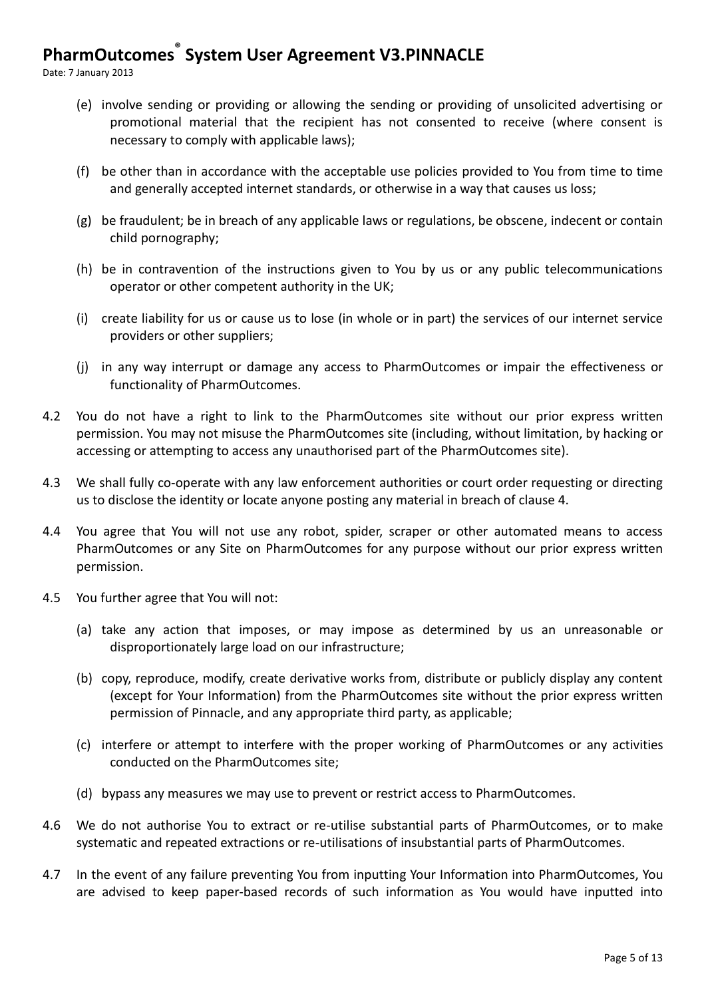Date: 7 January 2013

- (e) involve sending or providing or allowing the sending or providing of unsolicited advertising or promotional material that the recipient has not consented to receive (where consent is necessary to comply with applicable laws);
- (f) be other than in accordance with the acceptable use policies provided to You from time to time and generally accepted internet standards, or otherwise in a way that causes us loss;
- (g) be fraudulent; be in breach of any applicable laws or regulations, be obscene, indecent or contain child pornography;
- (h) be in contravention of the instructions given to You by us or any public telecommunications operator or other competent authority in the UK;
- (i) create liability for us or cause us to lose (in whole or in part) the services of our internet service providers or other suppliers;
- (j) in any way interrupt or damage any access to PharmOutcomes or impair the effectiveness or functionality of PharmOutcomes.
- 4.2 You do not have a right to link to the PharmOutcomes site without our prior express written permission. You may not misuse the PharmOutcomes site (including, without limitation, by hacking or accessing or attempting to access any unauthorised part of the PharmOutcomes site).
- 4.3 We shall fully co-operate with any law enforcement authorities or court order requesting or directing us to disclose the identity or locate anyone posting any material in breach of clause 4.
- 4.4 You agree that You will not use any robot, spider, scraper or other automated means to access PharmOutcomes or any Site on PharmOutcomes for any purpose without our prior express written permission.
- 4.5 You further agree that You will not:
	- (a) take any action that imposes, or may impose as determined by us an unreasonable or disproportionately large load on our infrastructure;
	- (b) copy, reproduce, modify, create derivative works from, distribute or publicly display any content (except for Your Information) from the PharmOutcomes site without the prior express written permission of Pinnacle, and any appropriate third party, as applicable;
	- (c) interfere or attempt to interfere with the proper working of PharmOutcomes or any activities conducted on the PharmOutcomes site;
	- (d) bypass any measures we may use to prevent or restrict access to PharmOutcomes.
- 4.6 We do not authorise You to extract or re-utilise substantial parts of PharmOutcomes, or to make systematic and repeated extractions or re-utilisations of insubstantial parts of PharmOutcomes.
- 4.7 In the event of any failure preventing You from inputting Your Information into PharmOutcomes, You are advised to keep paper-based records of such information as You would have inputted into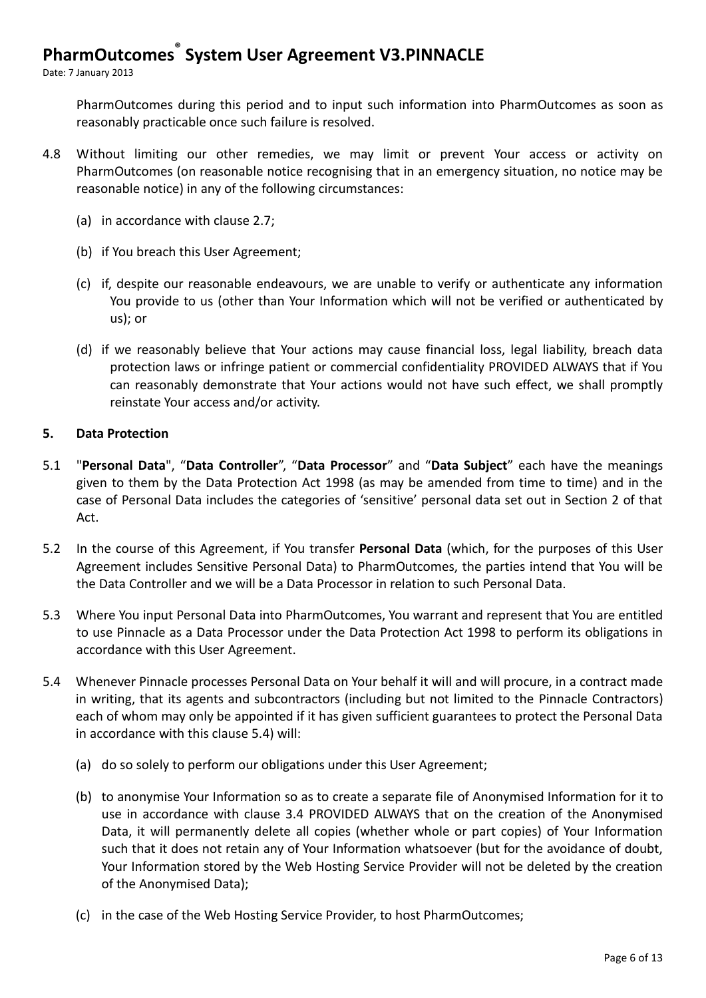Date: 7 January 2013

PharmOutcomes during this period and to input such information into PharmOutcomes as soon as reasonably practicable once such failure is resolved.

- 4.8 Without limiting our other remedies, we may limit or prevent Your access or activity on PharmOutcomes (on reasonable notice recognising that in an emergency situation, no notice may be reasonable notice) in any of the following circumstances:
	- (a) in accordance with clause 2.7;
	- (b) if You breach this User Agreement;
	- (c) if, despite our reasonable endeavours, we are unable to verify or authenticate any information You provide to us (other than Your Information which will not be verified or authenticated by us); or
	- (d) if we reasonably believe that Your actions may cause financial loss, legal liability, breach data protection laws or infringe patient or commercial confidentiality PROVIDED ALWAYS that if You can reasonably demonstrate that Your actions would not have such effect, we shall promptly reinstate Your access and/or activity.

#### **5. Data Protection**

- 5.1 "**Personal Data**", "**Data Controller**", "**Data Processor**" and "**Data Subject**" each have the meanings given to them by the Data Protection Act 1998 (as may be amended from time to time) and in the case of Personal Data includes the categories of 'sensitive' personal data set out in Section 2 of that Act.
- 5.2 In the course of this Agreement, if You transfer **Personal Data** (which, for the purposes of this User Agreement includes Sensitive Personal Data) to PharmOutcomes, the parties intend that You will be the Data Controller and we will be a Data Processor in relation to such Personal Data.
- 5.3 Where You input Personal Data into PharmOutcomes, You warrant and represent that You are entitled to use Pinnacle as a Data Processor under the Data Protection Act 1998 to perform its obligations in accordance with this User Agreement.
- 5.4 Whenever Pinnacle processes Personal Data on Your behalf it will and will procure, in a contract made in writing, that its agents and subcontractors (including but not limited to the Pinnacle Contractors) each of whom may only be appointed if it has given sufficient guarantees to protect the Personal Data in accordance with this clause 5.4) will:
	- (a) do so solely to perform our obligations under this User Agreement;
	- (b) to anonymise Your Information so as to create a separate file of Anonymised Information for it to use in accordance with clause 3.4 PROVIDED ALWAYS that on the creation of the Anonymised Data, it will permanently delete all copies (whether whole or part copies) of Your Information such that it does not retain any of Your Information whatsoever (but for the avoidance of doubt, Your Information stored by the Web Hosting Service Provider will not be deleted by the creation of the Anonymised Data);
	- (c) in the case of the Web Hosting Service Provider, to host PharmOutcomes;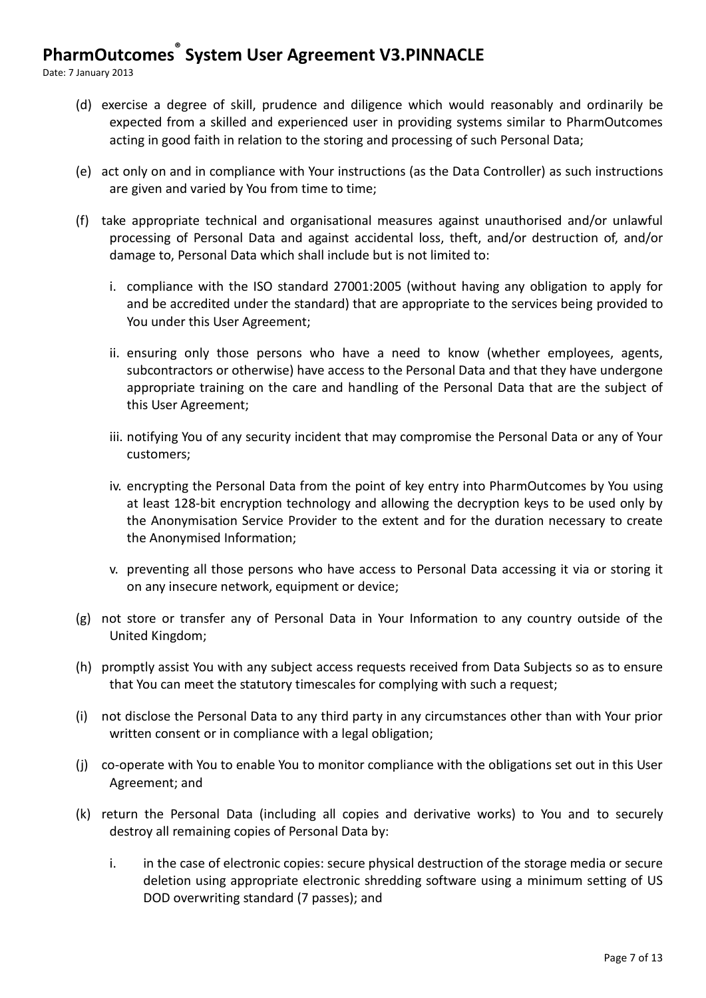Date: 7 January 2013

- (d) exercise a degree of skill, prudence and diligence which would reasonably and ordinarily be expected from a skilled and experienced user in providing systems similar to PharmOutcomes acting in good faith in relation to the storing and processing of such Personal Data;
- (e) act only on and in compliance with Your instructions (as the Data Controller) as such instructions are given and varied by You from time to time;
- (f) take appropriate technical and organisational measures against unauthorised and/or unlawful processing of Personal Data and against accidental loss, theft, and/or destruction of, and/or damage to, Personal Data which shall include but is not limited to:
	- i. compliance with the ISO standard 27001:2005 (without having any obligation to apply for and be accredited under the standard) that are appropriate to the services being provided to You under this User Agreement;
	- ii. ensuring only those persons who have a need to know (whether employees, agents, subcontractors or otherwise) have access to the Personal Data and that they have undergone appropriate training on the care and handling of the Personal Data that are the subject of this User Agreement;
	- iii. notifying You of any security incident that may compromise the Personal Data or any of Your customers;
	- iv. encrypting the Personal Data from the point of key entry into PharmOutcomes by You using at least 128-bit encryption technology and allowing the decryption keys to be used only by the Anonymisation Service Provider to the extent and for the duration necessary to create the Anonymised Information;
	- v. preventing all those persons who have access to Personal Data accessing it via or storing it on any insecure network, equipment or device;
- (g) not store or transfer any of Personal Data in Your Information to any country outside of the United Kingdom;
- (h) promptly assist You with any subject access requests received from Data Subjects so as to ensure that You can meet the statutory timescales for complying with such a request;
- (i) not disclose the Personal Data to any third party in any circumstances other than with Your prior written consent or in compliance with a legal obligation;
- (j) co-operate with You to enable You to monitor compliance with the obligations set out in this User Agreement; and
- (k) return the Personal Data (including all copies and derivative works) to You and to securely destroy all remaining copies of Personal Data by:
	- i. in the case of electronic copies: secure physical destruction of the storage media or secure deletion using appropriate electronic shredding software using a minimum setting of US DOD overwriting standard (7 passes); and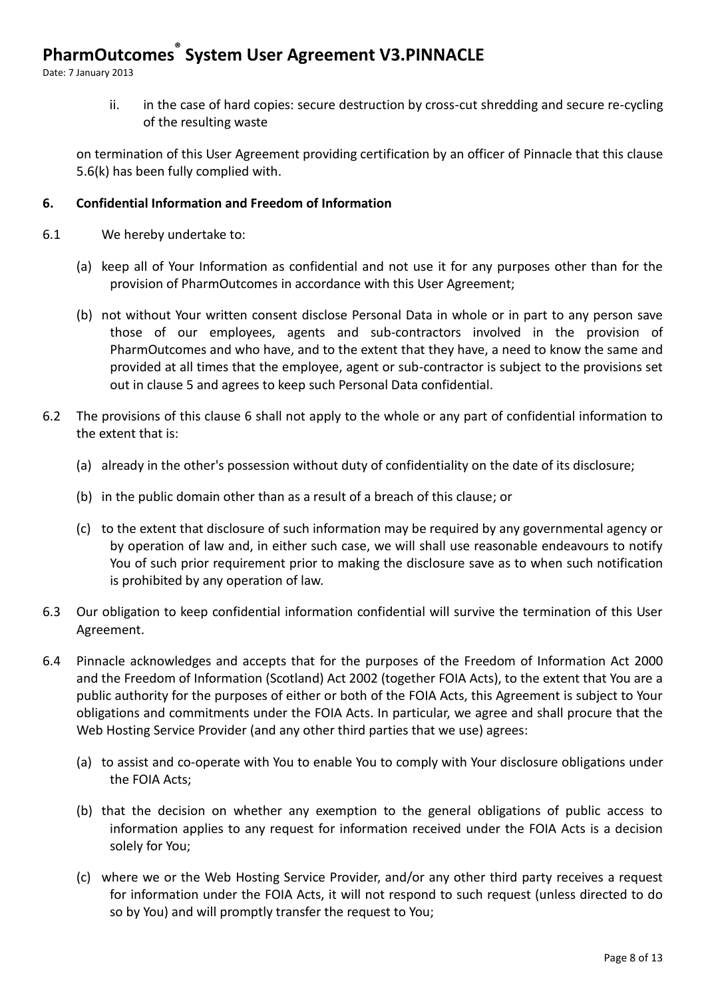Date: 7 January 2013

ii. in the case of hard copies: secure destruction by cross-cut shredding and secure re-cycling of the resulting waste

on termination of this User Agreement providing certification by an officer of Pinnacle that this clause 5.6(k) has been fully complied with.

### **6. Confidential Information and Freedom of Information**

- 6.1 We hereby undertake to:
	- (a) keep all of Your Information as confidential and not use it for any purposes other than for the provision of PharmOutcomes in accordance with this User Agreement;
	- (b) not without Your written consent disclose Personal Data in whole or in part to any person save those of our employees, agents and sub-contractors involved in the provision of PharmOutcomes and who have, and to the extent that they have, a need to know the same and provided at all times that the employee, agent or sub-contractor is subject to the provisions set out in clause 5 and agrees to keep such Personal Data confidential.
- 6.2 The provisions of this clause 6 shall not apply to the whole or any part of confidential information to the extent that is:
	- (a) already in the other's possession without duty of confidentiality on the date of its disclosure;
	- (b) in the public domain other than as a result of a breach of this clause; or
	- (c) to the extent that disclosure of such information may be required by any governmental agency or by operation of law and, in either such case, we will shall use reasonable endeavours to notify You of such prior requirement prior to making the disclosure save as to when such notification is prohibited by any operation of law.
- 6.3 Our obligation to keep confidential information confidential will survive the termination of this User Agreement.
- 6.4 Pinnacle acknowledges and accepts that for the purposes of the Freedom of Information Act 2000 and the Freedom of Information (Scotland) Act 2002 (together FOIA Acts), to the extent that You are a public authority for the purposes of either or both of the FOIA Acts, this Agreement is subject to Your obligations and commitments under the FOIA Acts. In particular, we agree and shall procure that the Web Hosting Service Provider (and any other third parties that we use) agrees:
	- (a) to assist and co-operate with You to enable You to comply with Your disclosure obligations under the FOIA Acts;
	- (b) that the decision on whether any exemption to the general obligations of public access to information applies to any request for information received under the FOIA Acts is a decision solely for You;
	- (c) where we or the Web Hosting Service Provider, and/or any other third party receives a request for information under the FOIA Acts, it will not respond to such request (unless directed to do so by You) and will promptly transfer the request to You;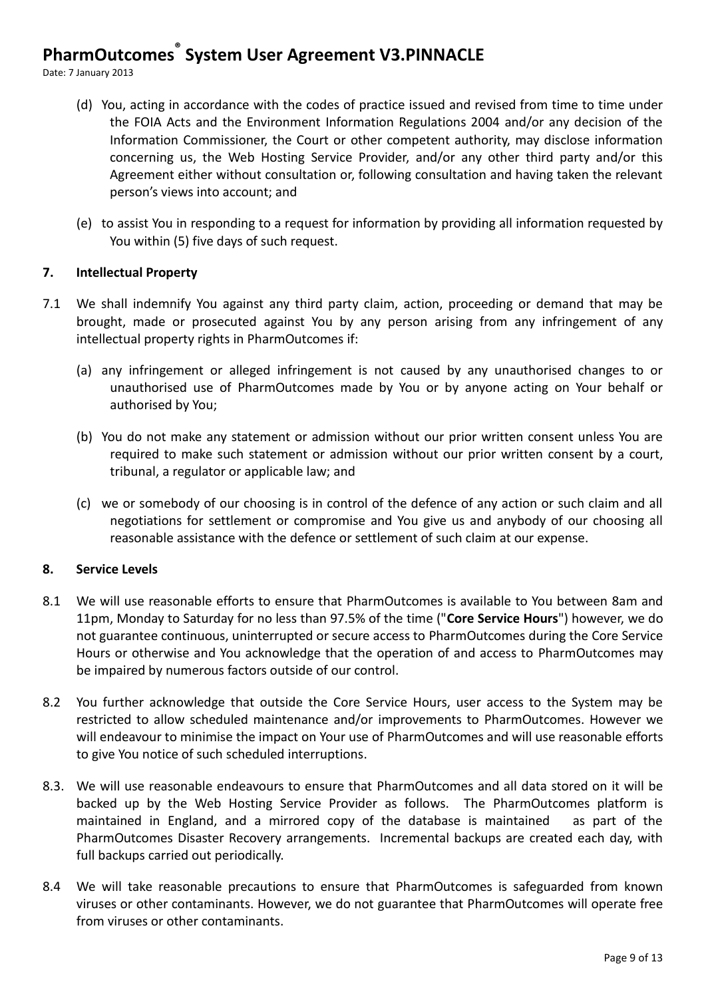Date: 7 January 2013

- (d) You, acting in accordance with the codes of practice issued and revised from time to time under the FOIA Acts and the Environment Information Regulations 2004 and/or any decision of the Information Commissioner, the Court or other competent authority, may disclose information concerning us, the Web Hosting Service Provider, and/or any other third party and/or this Agreement either without consultation or, following consultation and having taken the relevant person's views into account; and
- (e) to assist You in responding to a request for information by providing all information requested by You within (5) five days of such request.

#### **7. Intellectual Property**

- 7.1 We shall indemnify You against any third party claim, action, proceeding or demand that may be brought, made or prosecuted against You by any person arising from any infringement of any intellectual property rights in PharmOutcomes if:
	- (a) any infringement or alleged infringement is not caused by any unauthorised changes to or unauthorised use of PharmOutcomes made by You or by anyone acting on Your behalf or authorised by You;
	- (b) You do not make any statement or admission without our prior written consent unless You are required to make such statement or admission without our prior written consent by a court, tribunal, a regulator or applicable law; and
	- (c) we or somebody of our choosing is in control of the defence of any action or such claim and all negotiations for settlement or compromise and You give us and anybody of our choosing all reasonable assistance with the defence or settlement of such claim at our expense.

#### **8. Service Levels**

- 8.1 We will use reasonable efforts to ensure that PharmOutcomes is available to You between 8am and 11pm, Monday to Saturday for no less than 97.5% of the time ("**Core Service Hours**") however, we do not guarantee continuous, uninterrupted or secure access to PharmOutcomes during the Core Service Hours or otherwise and You acknowledge that the operation of and access to PharmOutcomes may be impaired by numerous factors outside of our control.
- 8.2 You further acknowledge that outside the Core Service Hours, user access to the System may be restricted to allow scheduled maintenance and/or improvements to PharmOutcomes. However we will endeavour to minimise the impact on Your use of PharmOutcomes and will use reasonable efforts to give You notice of such scheduled interruptions.
- 8.3. We will use reasonable endeavours to ensure that PharmOutcomes and all data stored on it will be backed up by the Web Hosting Service Provider as follows. The PharmOutcomes platform is maintained in England, and a mirrored copy of the database is maintained as part of the PharmOutcomes Disaster Recovery arrangements. Incremental backups are created each day, with full backups carried out periodically.
- 8.4 We will take reasonable precautions to ensure that PharmOutcomes is safeguarded from known viruses or other contaminants. However, we do not guarantee that PharmOutcomes will operate free from viruses or other contaminants.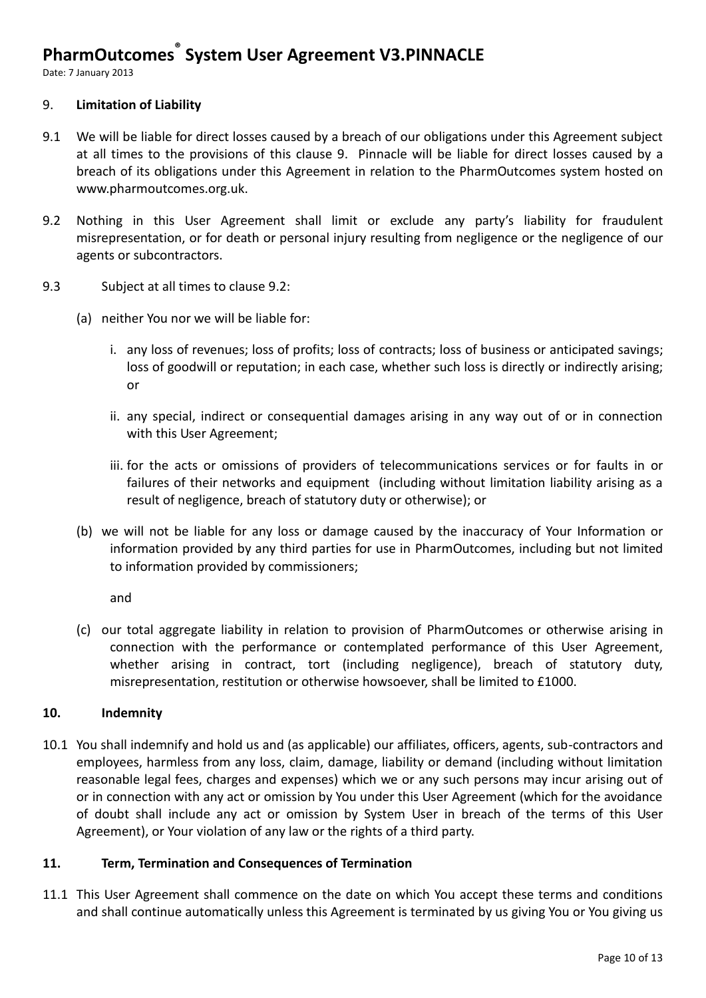Date: 7 January 2013

#### 9. **Limitation of Liability**

- 9.1 We will be liable for direct losses caused by a breach of our obligations under this Agreement subject at all times to the provisions of this clause 9. Pinnacle will be liable for direct losses caused by a breach of its obligations under this Agreement in relation to the PharmOutcomes system hosted on www.pharmoutcomes.org.uk.
- 9.2 Nothing in this User Agreement shall limit or exclude any party's liability for fraudulent misrepresentation, or for death or personal injury resulting from negligence or the negligence of our agents or subcontractors.
- 9.3 Subject at all times to clause 9.2:
	- (a) neither You nor we will be liable for:
		- i. any loss of revenues; loss of profits; loss of contracts; loss of business or anticipated savings; loss of goodwill or reputation; in each case, whether such loss is directly or indirectly arising; or
		- ii. any special, indirect or consequential damages arising in any way out of or in connection with this User Agreement;
		- iii. for the acts or omissions of providers of telecommunications services or for faults in or failures of their networks and equipment (including without limitation liability arising as a result of negligence, breach of statutory duty or otherwise); or
	- (b) we will not be liable for any loss or damage caused by the inaccuracy of Your Information or information provided by any third parties for use in PharmOutcomes, including but not limited to information provided by commissioners;

and

(c) our total aggregate liability in relation to provision of PharmOutcomes or otherwise arising in connection with the performance or contemplated performance of this User Agreement, whether arising in contract, tort (including negligence), breach of statutory duty, misrepresentation, restitution or otherwise howsoever, shall be limited to £1000.

#### **10. Indemnity**

10.1 You shall indemnify and hold us and (as applicable) our affiliates, officers, agents, sub-contractors and employees, harmless from any loss, claim, damage, liability or demand (including without limitation reasonable legal fees, charges and expenses) which we or any such persons may incur arising out of or in connection with any act or omission by You under this User Agreement (which for the avoidance of doubt shall include any act or omission by System User in breach of the terms of this User Agreement), or Your violation of any law or the rights of a third party.

#### **11. Term, Termination and Consequences of Termination**

11.1 This User Agreement shall commence on the date on which You accept these terms and conditions and shall continue automatically unless this Agreement is terminated by us giving You or You giving us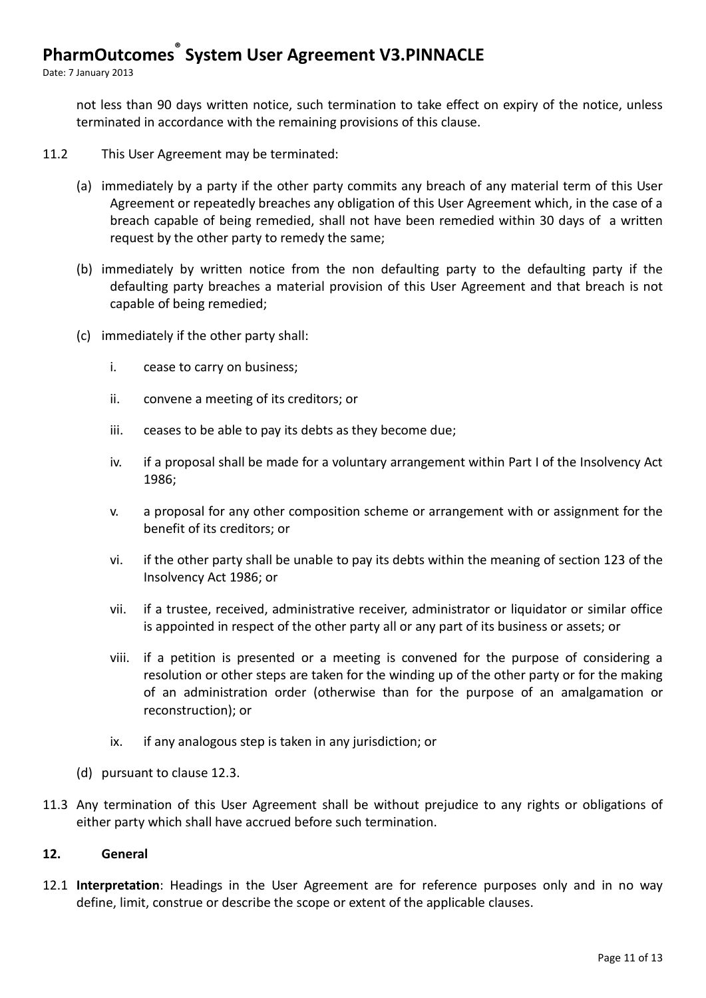Date: 7 January 2013

not less than 90 days written notice, such termination to take effect on expiry of the notice, unless terminated in accordance with the remaining provisions of this clause.

- 11.2 This User Agreement may be terminated:
	- (a) immediately by a party if the other party commits any breach of any material term of this User Agreement or repeatedly breaches any obligation of this User Agreement which, in the case of a breach capable of being remedied, shall not have been remedied within 30 days of a written request by the other party to remedy the same;
	- (b) immediately by written notice from the non defaulting party to the defaulting party if the defaulting party breaches a material provision of this User Agreement and that breach is not capable of being remedied;
	- (c) immediately if the other party shall:
		- i. cease to carry on business;
		- ii. convene a meeting of its creditors; or
		- iii. ceases to be able to pay its debts as they become due;
		- iv. if a proposal shall be made for a voluntary arrangement within Part I of the Insolvency Act 1986;
		- v. a proposal for any other composition scheme or arrangement with or assignment for the benefit of its creditors; or
		- vi. if the other party shall be unable to pay its debts within the meaning of section 123 of the Insolvency Act 1986; or
		- vii. if a trustee, received, administrative receiver, administrator or liquidator or similar office is appointed in respect of the other party all or any part of its business or assets; or
		- viii. if a petition is presented or a meeting is convened for the purpose of considering a resolution or other steps are taken for the winding up of the other party or for the making of an administration order (otherwise than for the purpose of an amalgamation or reconstruction); or
		- ix. if any analogous step is taken in any jurisdiction; or
	- (d) pursuant to clause 12.3.
- 11.3 Any termination of this User Agreement shall be without prejudice to any rights or obligations of either party which shall have accrued before such termination.

#### **12. General**

12.1 **Interpretation**: Headings in the User Agreement are for reference purposes only and in no way define, limit, construe or describe the scope or extent of the applicable clauses.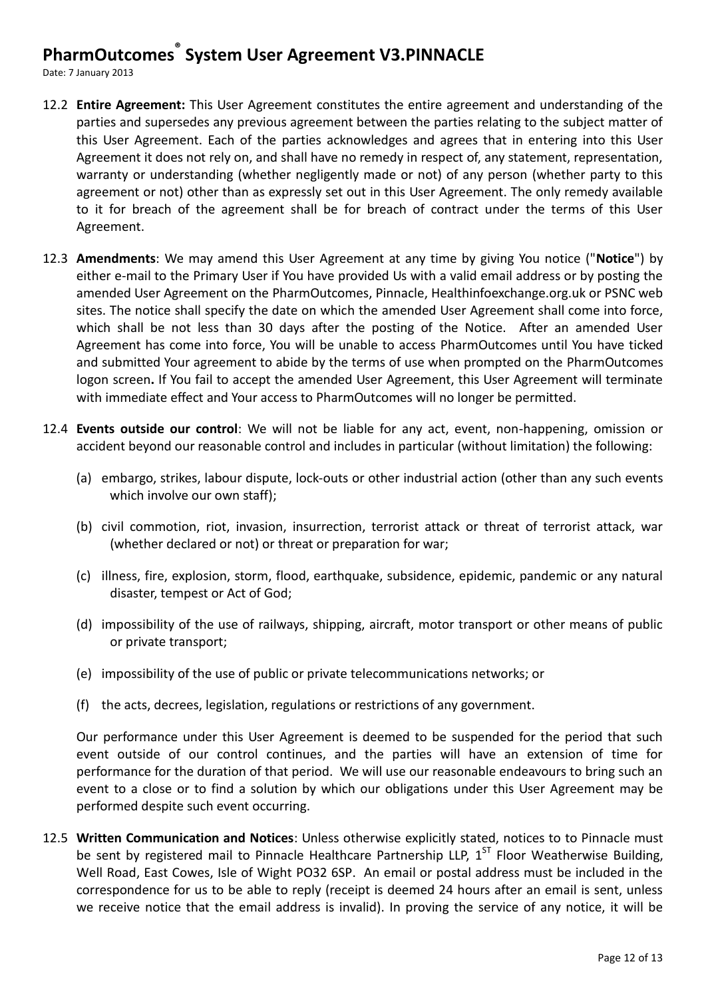Date: 7 January 2013

- 12.2 **Entire Agreement:** This User Agreement constitutes the entire agreement and understanding of the parties and supersedes any previous agreement between the parties relating to the subject matter of this User Agreement. Each of the parties acknowledges and agrees that in entering into this User Agreement it does not rely on, and shall have no remedy in respect of, any statement, representation, warranty or understanding (whether negligently made or not) of any person (whether party to this agreement or not) other than as expressly set out in this User Agreement. The only remedy available to it for breach of the agreement shall be for breach of contract under the terms of this User Agreement.
- 12.3 **Amendments**: We may amend this User Agreement at any time by giving You notice ("**Notice**") by either e-mail to the Primary User if You have provided Us with a valid email address or by posting the amended User Agreement on the PharmOutcomes, Pinnacle, Healthinfoexchange.org.uk or PSNC web sites. The notice shall specify the date on which the amended User Agreement shall come into force, which shall be not less than 30 days after the posting of the Notice. After an amended User Agreement has come into force, You will be unable to access PharmOutcomes until You have ticked and submitted Your agreement to abide by the terms of use when prompted on the PharmOutcomes logon screen**.** If You fail to accept the amended User Agreement, this User Agreement will terminate with immediate effect and Your access to PharmOutcomes will no longer be permitted.
- 12.4 **Events outside our control**: We will not be liable for any act, event, non-happening, omission or accident beyond our reasonable control and includes in particular (without limitation) the following:
	- (a) embargo, strikes, labour dispute, lock-outs or other industrial action (other than any such events which involve our own staff);
	- (b) civil commotion, riot, invasion, insurrection, terrorist attack or threat of terrorist attack, war (whether declared or not) or threat or preparation for war;
	- (c) illness, fire, explosion, storm, flood, earthquake, subsidence, epidemic, pandemic or any natural disaster, tempest or Act of God;
	- (d) impossibility of the use of railways, shipping, aircraft, motor transport or other means of public or private transport;
	- (e) impossibility of the use of public or private telecommunications networks; or
	- (f) the acts, decrees, legislation, regulations or restrictions of any government.

Our performance under this User Agreement is deemed to be suspended for the period that such event outside of our control continues, and the parties will have an extension of time for performance for the duration of that period. We will use our reasonable endeavours to bring such an event to a close or to find a solution by which our obligations under this User Agreement may be performed despite such event occurring.

12.5 **Written Communication and Notices**: Unless otherwise explicitly stated, notices to to Pinnacle must be sent by registered mail to Pinnacle Healthcare Partnership LLP, 1<sup>ST</sup> Floor Weatherwise Building, Well Road, East Cowes, Isle of Wight PO32 6SP. An email or postal address must be included in the correspondence for us to be able to reply (receipt is deemed 24 hours after an email is sent, unless we receive notice that the email address is invalid). In proving the service of any notice, it will be